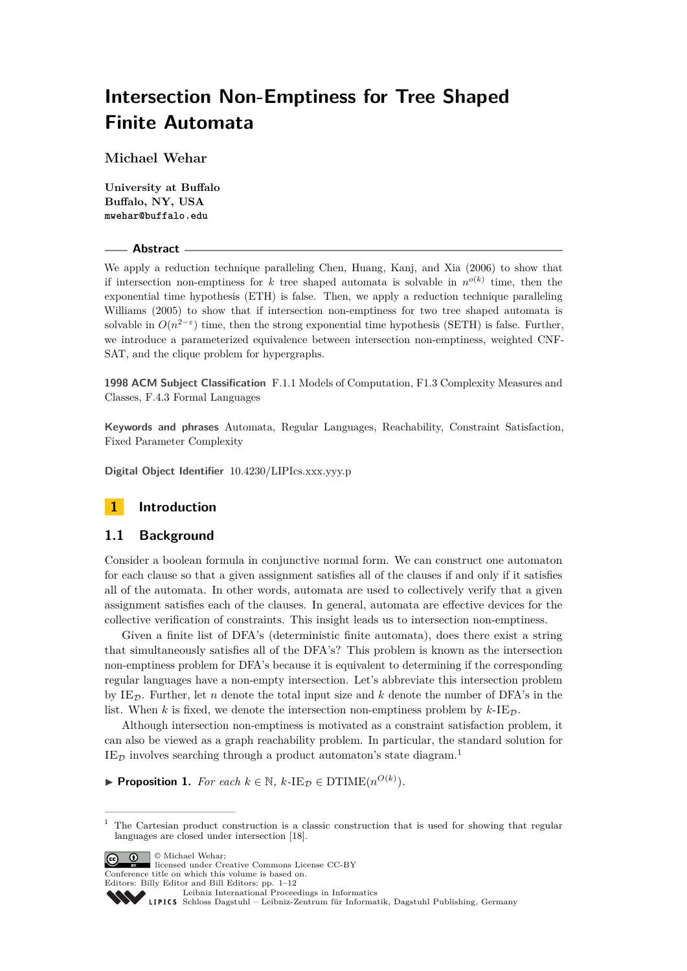# **Intersection Non-Emptiness for Tree Shaped Finite Automata**

**Michael Wehar**

**University at Buffalo Buffalo, NY, USA mwehar@buffalo.edu**

#### **Abstract**

We apply a reduction technique paralleling Chen, Huang, Kanj, and Xia (2006) to show that if intersection non-emptiness for *k* tree shaped automata is solvable in  $n^{o(k)}$  time, then the exponential time hypothesis (ETH) is false. Then, we apply a reduction technique paralleling Williams (2005) to show that if intersection non-emptiness for two tree shaped automata is solvable in  $O(n^{2-\epsilon})$  time, then the strong exponential time hypothesis (SETH) is false. Further, we introduce a parameterized equivalence between intersection non-emptiness, weighted CNF-SAT, and the clique problem for hypergraphs.

**1998 ACM Subject Classification** F.1.1 Models of Computation, F1.3 Complexity Measures and Classes, F.4.3 Formal Languages

**Keywords and phrases** Automata, Regular Languages, Reachability, Constraint Satisfaction, Fixed Parameter Complexity

**Digital Object Identifier** [10.4230/LIPIcs.xxx.yyy.p](http://dx.doi.org/10.4230/LIPIcs.xxx.yyy.p)

# **1 Introduction**

## **1.1 Background**

Consider a boolean formula in conjunctive normal form. We can construct one automaton for each clause so that a given assignment satisfies all of the clauses if and only if it satisfies all of the automata. In other words, automata are used to collectively verify that a given assignment satisfies each of the clauses. In general, automata are effective devices for the collective verification of constraints. This insight leads us to intersection non-emptiness.

Given a finite list of DFA's (deterministic finite automata), does there exist a string that simultaneously satisfies all of the DFA's? This problem is known as the intersection non-emptiness problem for DFA's because it is equivalent to determining if the corresponding regular languages have a non-empty intersection. Let's abbreviate this intersection problem by IE<sub>D</sub>. Further, let *n* denote the total input size and *k* denote the number of DFA's in the list. When  $k$  is fixed, we denote the intersection non-emptiness problem by  $k$ -IE<sub>D</sub>.

Although intersection non-emptiness is motivated as a constraint satisfaction problem, it can also be viewed as a graph reachability problem. In particular, the standard solution for  $IE_{\mathcal{D}}$  involves searching through a product automaton's state diagram.<sup>[1](#page-0-0)</sup>

▶ **Proposition 1.** *For each*  $k \in \mathbb{N}$ ,  $k$ -IE<sub>D</sub>  $\in$  DTIME( $n^{O(k)}$ ).

© Michael Wehar; licensed under Creative Commons License CC-BY

Leibniz international ruceedings in miorimetric<br>
LIPICS [Schloss Dagstuhl – Leibniz-Zentrum für Informatik, Dagstuhl Publishing, Germany](http://www.dagstuhl.de)



<span id="page-0-0"></span> $1$  The Cartesian product construction is a classic construction that is used for showing that regular languages are closed under intersection [\[18\]](#page-11-0).

Conference title on which this volume is based on. Editors: Billy Editor and Bill Editors; pp. 1[–12](#page-11-1)

[Leibniz International Proceedings in Informatics](http://www.dagstuhl.de/lipics/)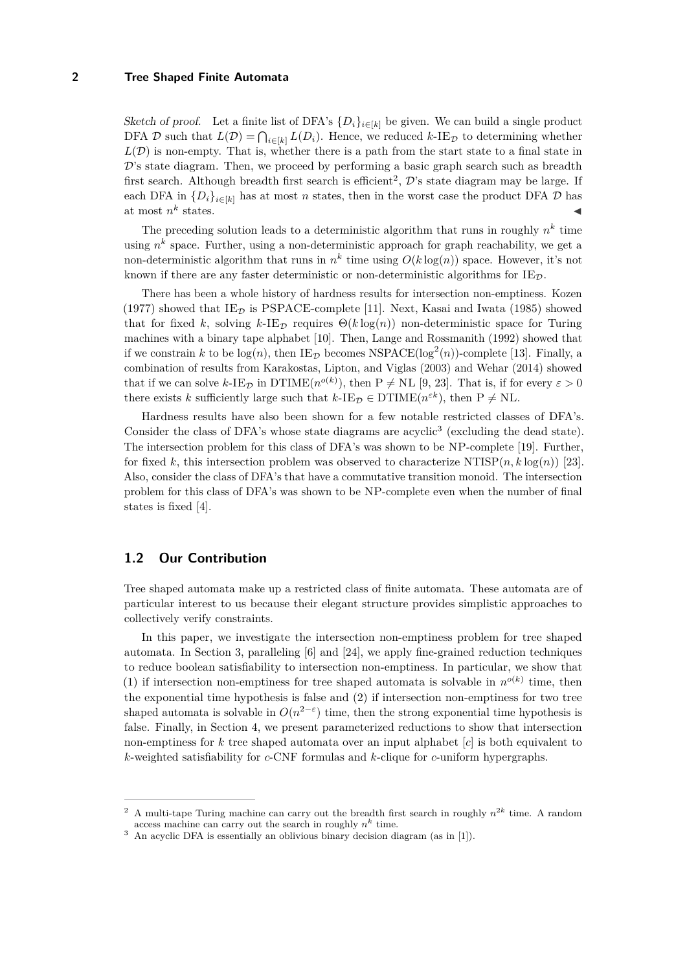Sketch of proof. Let a finite list of DFA's  $\{D_i\}_{i\in[k]}$  be given. We can build a single product DFA D such that  $L(\mathcal{D}) = \bigcap_{i \in [k]} L(D_i)$ . Hence, we reduced  $k$ -IE<sub>D</sub> to determining whether  $L(\mathcal{D})$  is non-empty. That is, whether there is a path from the start state to a final state in  $\mathcal{D}'$ 's state diagram. Then, we proceed by performing a basic graph search such as breadth first search. Although breadth first search is efficient<sup>[2](#page-1-0)</sup>,  $\mathcal{D}$ 's state diagram may be large. If each DFA in  $\{D_i\}_{i\in[k]}$  has at most *n* states, then in the worst case the product DFA  $\mathcal D$  has at most *n k* states.  $\blacksquare$ 

The preceding solution leads to a deterministic algorithm that runs in roughly  $n^k$  time using  $n^k$  space. Further, using a non-deterministic approach for graph reachability, we get a non-deterministic algorithm that runs in  $n^k$  time using  $O(k \log(n))$  space. However, it's not known if there are any faster deterministic or non-deterministic algorithms for  $IE_{\mathcal{D}}$ .

There has been a whole history of hardness results for intersection non-emptiness. Kozen (1977) showed that  $IE_{\mathcal{D}}$  is PSPACE-complete [\[11\]](#page-11-2). Next, Kasai and Iwata (1985) showed that for fixed *k*, solving  $k$ -IE<sub>D</sub> requires  $\Theta(k \log(n))$  non-deterministic space for Turing machines with a binary tape alphabet [\[10\]](#page-11-3). Then, Lange and Rossmanith (1992) showed that if we constrain k to be  $log(n)$ , then  $IE_{\mathcal{D}}$  becomes NSPACE( $log^2(n)$ )-complete [\[13\]](#page-11-4). Finally, a combination of results from Karakostas, Lipton, and Viglas (2003) and Wehar (2014) showed that if we can solve  $k$ -IE<sub>D</sub> in DTIME $(n^{o(k)})$ , then P  $\neq$  NL [\[9,](#page-11-5) [23\]](#page-11-6). That is, if for every  $\varepsilon > 0$ there exists *k* sufficiently large such that  $k$ -IE<sub>D</sub>  $\in$  DTIME( $n^{\varepsilon k}$ ), then P  $\neq$  NL.

Hardness results have also been shown for a few notable restricted classes of DFA's. Consider the class of DFA's whose state diagrams are acyclic<sup>[3](#page-1-1)</sup> (excluding the dead state). The intersection problem for this class of DFA's was shown to be NP-complete [\[19\]](#page-11-7). Further, for fixed k, this intersection problem was observed to characterize  $\text{NTISP}(n, k \log(n))$  [\[23\]](#page-11-6). Also, consider the class of DFA's that have a commutative transition monoid. The intersection problem for this class of DFA's was shown to be NP-complete even when the number of final states is fixed [\[4\]](#page-11-8).

## **1.2 Our Contribution**

Tree shaped automata make up a restricted class of finite automata. These automata are of particular interest to us because their elegant structure provides simplistic approaches to collectively verify constraints.

In this paper, we investigate the intersection non-emptiness problem for tree shaped automata. In Section 3, paralleling [\[6\]](#page-11-9) and [\[24\]](#page-11-10), we apply fine-grained reduction techniques to reduce boolean satisfiability to intersection non-emptiness. In particular, we show that (1) if intersection non-emptiness for tree shaped automata is solvable in  $n^{o(k)}$  time, then the exponential time hypothesis is false and (2) if intersection non-emptiness for two tree shaped automata is solvable in  $O(n^{2-\varepsilon})$  time, then the strong exponential time hypothesis is false. Finally, in Section 4, we present parameterized reductions to show that intersection non-emptiness for *k* tree shaped automata over an input alphabet [*c*] is both equivalent to *k*-weighted satisfiability for *c*-CNF formulas and *k*-clique for *c*-uniform hypergraphs.

<span id="page-1-0"></span><sup>&</sup>lt;sup>2</sup> A multi-tape Turing machine can carry out the breadth first search in roughly  $n^{2k}$  time. A random access machine can carry out the search in roughly  $n^k$  time.

<span id="page-1-1"></span><sup>&</sup>lt;sup>3</sup> An acyclic DFA is essentially an oblivious binary decision diagram (as in [\[1\]](#page-10-0)).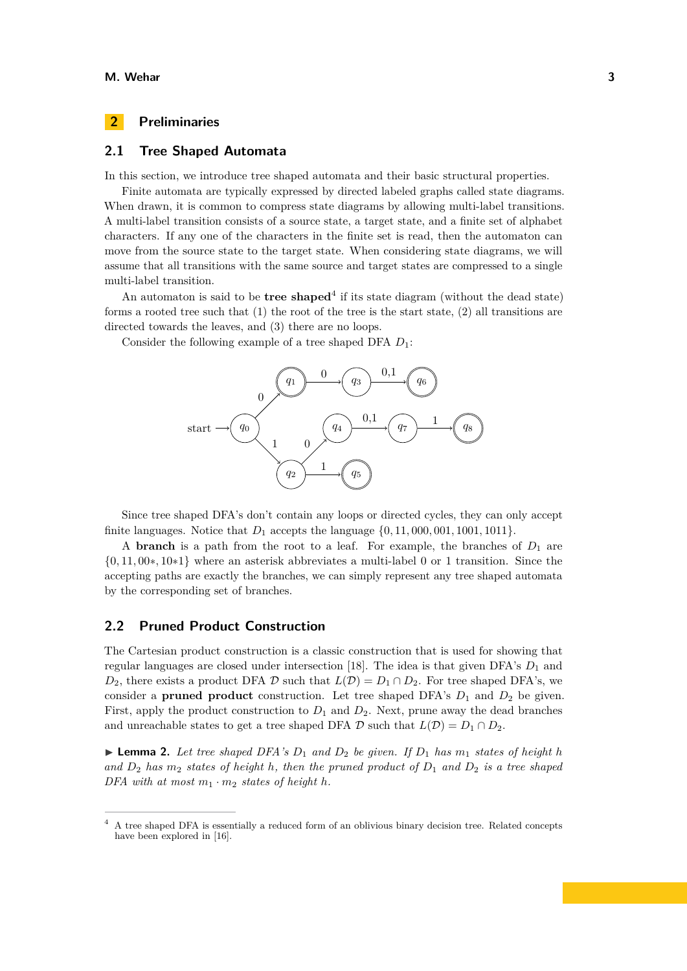## **2 Preliminaries**

## **2.1 Tree Shaped Automata**

In this section, we introduce tree shaped automata and their basic structural properties.

Finite automata are typically expressed by directed labeled graphs called state diagrams. When drawn, it is common to compress state diagrams by allowing multi-label transitions. A multi-label transition consists of a source state, a target state, and a finite set of alphabet characters. If any one of the characters in the finite set is read, then the automaton can move from the source state to the target state. When considering state diagrams, we will assume that all transitions with the same source and target states are compressed to a single multi-label transition.

An automaton is said to be **tree shaped**<sup>[4](#page-2-0)</sup> if its state diagram (without the dead state) forms a rooted tree such that (1) the root of the tree is the start state, (2) all transitions are directed towards the leaves, and (3) there are no loops.

Consider the following example of a tree shaped DFA *D*1:



Since tree shaped DFA's don't contain any loops or directed cycles, they can only accept finite languages. Notice that *D*<sup>1</sup> accepts the language {0*,* 11*,* 000*,* 001*,* 1001*,* 1011}.

A **branch** is a path from the root to a leaf. For example, the branches of  $D_1$  are {0*,* 11*,* 00∗*,* 10∗1} where an asterisk abbreviates a multi-label 0 or 1 transition. Since the accepting paths are exactly the branches, we can simply represent any tree shaped automata by the corresponding set of branches.

# **2.2 Pruned Product Construction**

The Cartesian product construction is a classic construction that is used for showing that regular languages are closed under intersection [\[18\]](#page-11-0). The idea is that given  $DFA$ 's  $D_1$  and  $D_2$ , there exists a product DFA  $\mathcal D$  such that  $L(\mathcal D) = D_1 \cap D_2$ . For tree shaped DFA's, we consider a **pruned product** construction. Let tree shaped DFA's  $D_1$  and  $D_2$  be given. First, apply the product construction to  $D_1$  and  $D_2$ . Next, prune away the dead branches and unreachable states to get a tree shaped DFA  $\mathcal{D}$  such that  $L(\mathcal{D}) = D_1 \cap D_2$ .

 $\triangleright$  **Lemma 2.** Let tree shaped DFA's  $D_1$  and  $D_2$  be given. If  $D_1$  has  $m_1$  states of height h and  $D_2$  *has*  $m_2$  *states of height h*, *then the pruned product of*  $D_1$  *and*  $D_2$  *is a tree shaped DFA with at most*  $m_1 \cdot m_2$  *states of height h.* 

<span id="page-2-0"></span><sup>4</sup> A tree shaped DFA is essentially a reduced form of an oblivious binary decision tree. Related concepts have been explored in [\[16\]](#page-11-11).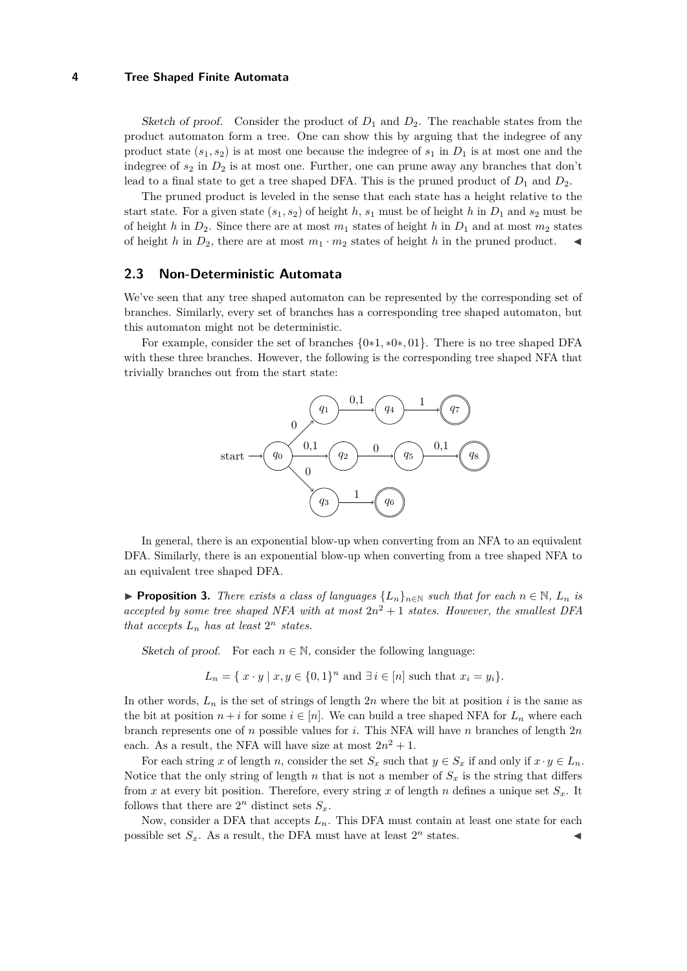Sketch of proof. Consider the product of  $D_1$  and  $D_2$ . The reachable states from the product automaton form a tree. One can show this by arguing that the indegree of any product state  $(s_1, s_2)$  is at most one because the indegree of  $s_1$  in  $D_1$  is at most one and the indegree of  $s_2$  in  $D_2$  is at most one. Further, one can prune away any branches that don't lead to a final state to get a tree shaped DFA. This is the pruned product of  $D_1$  and  $D_2$ .

The pruned product is leveled in the sense that each state has a height relative to the start state. For a given state  $(s_1, s_2)$  of height *h*,  $s_1$  must be of height *h* in  $D_1$  and  $s_2$  must be of height *h* in  $D_2$ . Since there are at most  $m_1$  states of height *h* in  $D_1$  and at most  $m_2$  states of height *h* in  $D_2$ , there are at most  $m_1 \cdot m_2$  states of height *h* in the pruned product.

#### **2.3 Non-Deterministic Automata**

We've seen that any tree shaped automaton can be represented by the corresponding set of branches. Similarly, every set of branches has a corresponding tree shaped automaton, but this automaton might not be deterministic.

For example, consider the set of branches {0∗1*,* ∗0∗*,* 01}. There is no tree shaped DFA with these three branches. However, the following is the corresponding tree shaped NFA that trivially branches out from the start state:



In general, there is an exponential blow-up when converting from an NFA to an equivalent DFA. Similarly, there is an exponential blow-up when converting from a tree shaped NFA to an equivalent tree shaped DFA.

▶ **Proposition 3.** *There exists a class of languages*  $\{L_n\}_{n\in\mathbb{N}}$  *such that for each*  $n \in \mathbb{N}$ *,*  $L_n$  *is accepted by some tree shaped NFA with at most*  $2n^2 + 1$  *states. However, the smallest DFA that accepts*  $L_n$  *has at least*  $2^n$  *states.* 

Sketch of proof. For each  $n \in \mathbb{N}$ , consider the following language:

 $L_n = \{ x \cdot y \mid x, y \in \{0, 1\}^n \text{ and } \exists i \in [n] \text{ such that } x_i = y_i \}.$ 

In other words,  $L_n$  is the set of strings of length  $2n$  where the bit at position *i* is the same as the bit at position  $n + i$  for some  $i \in [n]$ . We can build a tree shaped NFA for  $L_n$  where each branch represents one of *n* possible values for *i*. This NFA will have *n* branches of length 2*n* each. As a result, the NFA will have size at most  $2n^2 + 1$ .

For each string *x* of length *n*, consider the set  $S_x$  such that  $y \in S_x$  if and only if  $x \cdot y \in L_n$ . Notice that the only string of length  $n$  that is not a member of  $S_x$  is the string that differs from *x* at every bit position. Therefore, every string *x* of length *n* defines a unique set  $S_x$ . It follows that there are  $2^n$  distinct sets  $S_x$ .

Now, consider a DFA that accepts  $L_n$ . This DFA must contain at least one state for each possible set  $S_x$ . As a result, the DFA must have at least  $2^n$  states.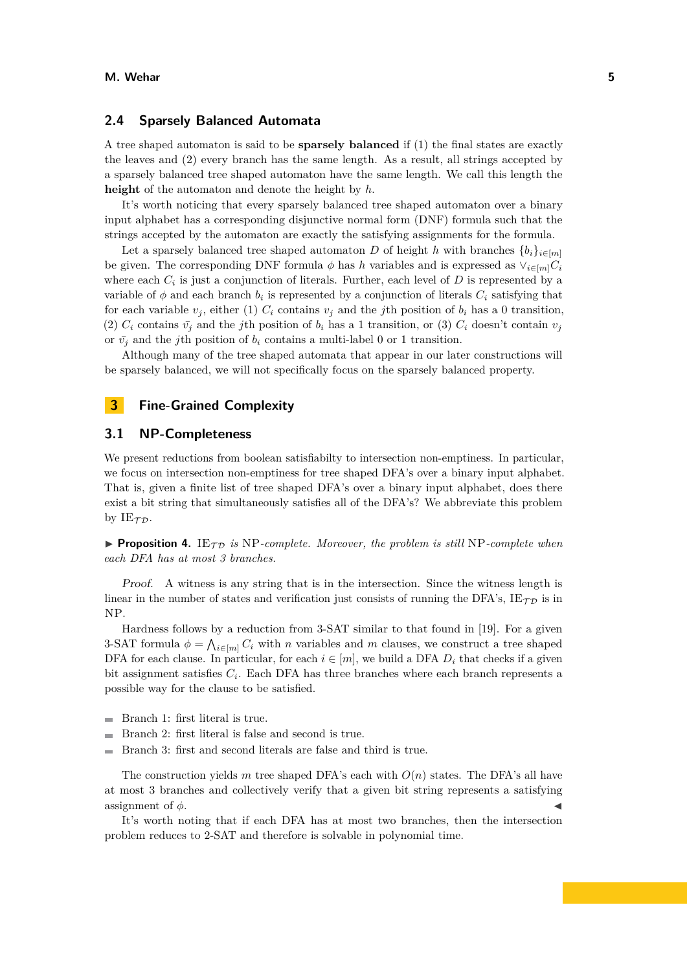## **2.4 Sparsely Balanced Automata**

A tree shaped automaton is said to be **sparsely balanced** if (1) the final states are exactly the leaves and (2) every branch has the same length. As a result, all strings accepted by a sparsely balanced tree shaped automaton have the same length. We call this length the **height** of the automaton and denote the height by *h*.

It's worth noticing that every sparsely balanced tree shaped automaton over a binary input alphabet has a corresponding disjunctive normal form (DNF) formula such that the strings accepted by the automaton are exactly the satisfying assignments for the formula.

Let a sparsely balanced tree shaped automaton *D* of height *h* with branches  ${b_i}_{i \in [m]}$ be given. The corresponding DNF formula  $\phi$  has *h* variables and is expressed as  $\vee_{i \in [m]} C_i$ where each  $C_i$  is just a conjunction of literals. Further, each level of  $D$  is represented by a variable of  $\phi$  and each branch  $b_i$  is represented by a conjunction of literals  $C_i$  satisfying that for each variable  $v_j$ , either (1)  $C_i$  contains  $v_j$  and the *j*th position of  $b_i$  has a 0 transition, (2)  $C_i$  contains  $\bar{v}_i$  and the *j*th position of  $b_i$  has a 1 transition, or (3)  $C_i$  doesn't contain  $v_i$ or  $\bar{v}_i$  and the *j*th position of  $b_i$  contains a multi-label 0 or 1 transition.

Although many of the tree shaped automata that appear in our later constructions will be sparsely balanced, we will not specifically focus on the sparsely balanced property.

## **3 Fine-Grained Complexity**

# **3.1 NP-Completeness**

We present reductions from boolean satisfiabilty to intersection non-emptiness. In particular, we focus on intersection non-emptiness for tree shaped DFA's over a binary input alphabet. That is, given a finite list of tree shaped DFA's over a binary input alphabet, does there exist a bit string that simultaneously satisfies all of the DFA's? We abbreviate this problem by  $IE_{TD}$ .

**Proposition 4.** IE<sub>T</sub> is NP-complete. Moreover, the problem is still NP-complete when *each DFA has at most 3 branches.*

Proof. A witness is any string that is in the intersection. Since the witness length is linear in the number of states and verification just consists of running the DFA's,  $IE<sub>TD</sub>$  is in NP.

Hardness follows by a reduction from 3-SAT similar to that found in [\[19\]](#page-11-7). For a given 3-SAT formula  $\phi = \bigwedge_{i \in [m]} C_i$  with *n* variables and *m* clauses, we construct a tree shaped DFA for each clause. In particular, for each  $i \in [m]$ , we build a DFA  $D_i$  that checks if a given bit assignment satisfies  $C_i$ . Each DFA has three branches where each branch represents a possible way for the clause to be satisfied.

- Branch 1: first literal is true.  $\rightarrow$
- $\overline{a}$ Branch 2: first literal is false and second is true.
- Branch 3: first and second literals are false and third is true.

The construction yields *m* tree shaped DFA's each with  $O(n)$  states. The DFA's all have at most 3 branches and collectively verify that a given bit string represents a satisfying assignment of  $\phi$ .

It's worth noting that if each DFA has at most two branches, then the intersection problem reduces to 2-SAT and therefore is solvable in polynomial time.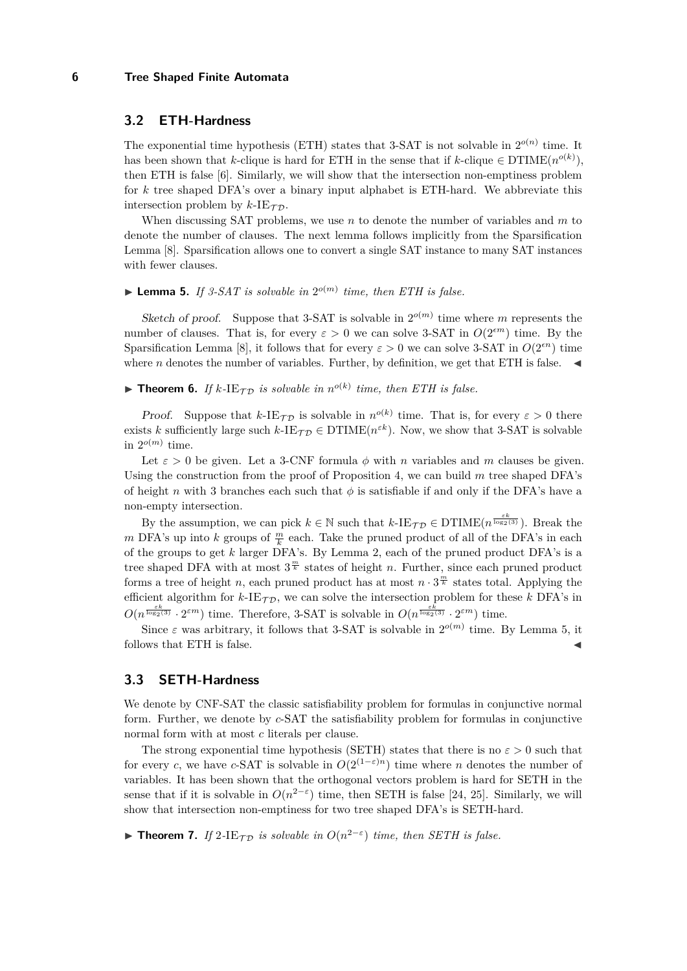## **3.2 ETH-Hardness**

The exponential time hypothesis (ETH) states that 3-SAT is not solvable in  $2^{o(n)}$  time. It has been shown that *k*-clique is hard for ETH in the sense that if *k*-clique  $\in$  DTIME $(n^{o(k)})$ , then ETH is false [\[6\]](#page-11-9). Similarly, we will show that the intersection non-emptiness problem for *k* tree shaped DFA's over a binary input alphabet is ETH-hard. We abbreviate this intersection problem by  $k$ -IE<sub> $\tau$ </sub> $\tau$ .

When discussing SAT problems, we use *n* to denote the number of variables and *m* to denote the number of clauses. The next lemma follows implicitly from the Sparsification Lemma [\[8\]](#page-11-12). Sparsification allows one to convert a single SAT instance to many SAT instances with fewer clauses.

# **Lemma 5.** If 3-SAT is solvable in  $2^{o(m)}$  time, then ETH is false.

Sketch of proof. Suppose that 3-SAT is solvable in  $2^{o(m)}$  time where *m* represents the number of clauses. That is, for every  $\varepsilon > 0$  we can solve 3-SAT in  $O(2^{\varepsilon m})$  time. By the Sparsification Lemma [\[8\]](#page-11-12), it follows that for every  $\varepsilon > 0$  we can solve 3-SAT in  $O(2^{(\varepsilon n)})$  time where *n* denotes the number of variables. Further, by definition, we get that ETH is false.

**Theorem 6.** If  $k$ -IE<sub>TD</sub> is solvable in  $n^{o(k)}$  time, then ETH is false.

*Proof.* Suppose that  $k$ -IE<sub> $\mathcal{T}$ </sub> is solvable in  $n^{o(k)}$  time. That is, for every  $\varepsilon > 0$  there exists *k* sufficiently large such  $k$ -IE $\tau_{\mathcal{D}} \in \text{DTIME}(n^{\varepsilon k})$ . Now, we show that 3-SAT is solvable in  $2^{o(m)}$  time.

Let  $\varepsilon > 0$  be given. Let a 3-CNF formula  $\phi$  with *n* variables and *m* clauses be given. Using the construction from the proof of Proposition 4, we can build *m* tree shaped DFA's of height *n* with 3 branches each such that *φ* is satisfiable if and only if the DFA's have a non-empty intersection.

By the assumption, we can pick  $k \in \mathbb{N}$  such that  $k$ -IE<sub>TD</sub>  $\in$  DTIME $(n^{\frac{\varepsilon k}{\log_2(3)}})$ . Break the *m* DFA's up into *k* groups of  $\frac{m}{k}$  each. Take the pruned product of all of the DFA's in each of the groups to get *k* larger DFA's. By Lemma 2, each of the pruned product DFA's is a tree shaped DFA with at most  $3^{\frac{m}{k}}$  states of height *n*. Further, since each pruned product forms a tree of height *n*, each pruned product has at most  $n \cdot 3^{\frac{m}{k}}$  states total. Applying the efficient algorithm for  $k$ -IE<sub>TD</sub>, we can solve the intersection problem for these  $k$  DFA's in  $O(n^{\frac{\varepsilon k}{\log_2(3)}} \cdot 2^{\varepsilon m})$  time. Therefore, 3-SAT is solvable in  $O(n^{\frac{\varepsilon k}{\log_2(3)}} \cdot 2^{\varepsilon m})$  time.

Since  $\varepsilon$  was arbitrary, it follows that 3-SAT is solvable in  $2^{o(m)}$  time. By Lemma 5, it follows that  $ETH$  is false.

#### **3.3 SETH-Hardness**

We denote by CNF-SAT the classic satisfiability problem for formulas in conjunctive normal form. Further, we denote by *c*-SAT the satisfiability problem for formulas in conjunctive normal form with at most *c* literals per clause.

The strong exponential time hypothesis (SETH) states that there is no  $\varepsilon > 0$  such that for every *c*, we have *c*-SAT is solvable in  $O(2^{(1-\epsilon)n})$  time where *n* denotes the number of variables. It has been shown that the orthogonal vectors problem is hard for SETH in the sense that if it is solvable in  $O(n^{2-\epsilon})$  time, then SETH is false [\[24,](#page-11-10) [25\]](#page-11-13). Similarly, we will show that intersection non-emptiness for two tree shaped DFA's is SETH-hard.

**► Theorem 7.** If 2-IE<sub>TD</sub> is solvable in  $O(n^{2-\epsilon})$  time, then SETH is false.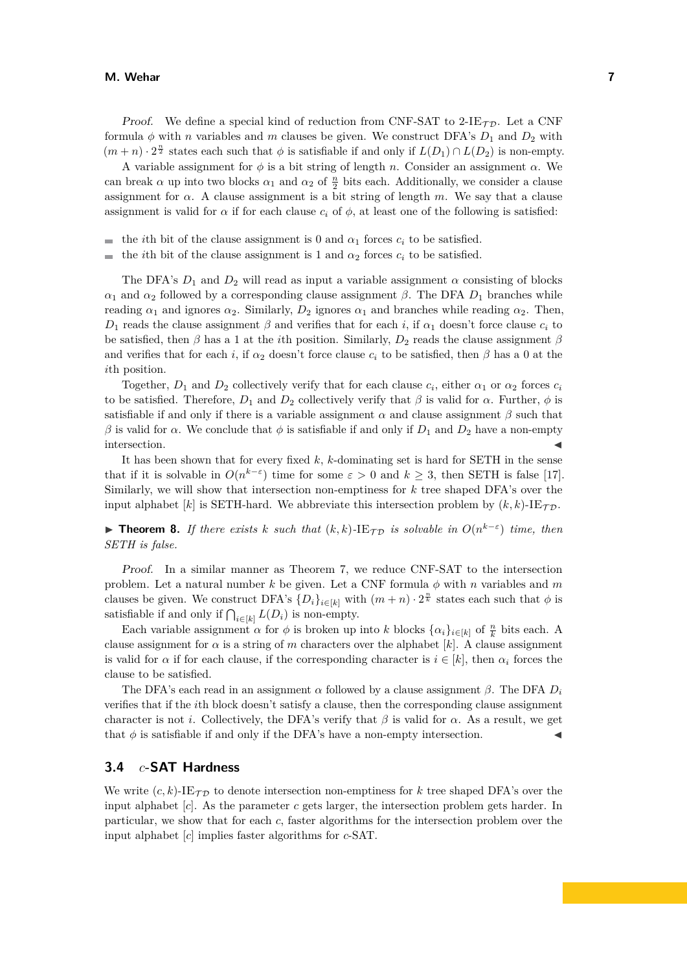#### **M. Wehar 7**

*Proof.* We define a special kind of reduction from CNF-SAT to  $2$ -IE $\tau$ <sub>D</sub>. Let a CNF formula  $\phi$  with *n* variables and *m* clauses be given. We construct DFA's  $D_1$  and  $D_2$  with  $(m+n) \cdot 2^{\frac{n}{2}}$  states each such that  $\phi$  is satisfiable if and only if  $L(D_1) \cap L(D_2)$  is non-empty.

A variable assignment for  $\phi$  is a bit string of length *n*. Consider an assignment  $\alpha$ . We can break  $\alpha$  up into two blocks  $\alpha_1$  and  $\alpha_2$  of  $\frac{n}{2}$  bits each. Additionally, we consider a clause assignment for  $\alpha$ . A clause assignment is a bit string of length  $m$ . We say that a clause assignment is valid for  $\alpha$  if for each clause  $c_i$  of  $\phi$ , at least one of the following is satisfied:

- the *i*th bit of the clause assignment is 0 and  $\alpha_1$  forces  $c_i$  to be satisfied.  $\blacksquare$
- the *i*th bit of the clause assignment is 1 and  $\alpha_2$  forces  $c_i$  to be satisfied. ÷

The DFA's  $D_1$  and  $D_2$  will read as input a variable assignment  $\alpha$  consisting of blocks *α*<sub>1</sub> and *α*<sub>2</sub> followed by a corresponding clause assignment *β*. The DFA  $D_1$  branches while reading  $\alpha_1$  and ignores  $\alpha_2$ . Similarly,  $D_2$  ignores  $\alpha_1$  and branches while reading  $\alpha_2$ . Then, *D*<sub>1</sub> reads the clause assignment *β* and verifies that for each *i*, if  $α_1$  doesn't force clause  $c_i$  to be satisfied, then  $\beta$  has a 1 at the *i*th position. Similarly,  $D_2$  reads the clause assignment  $\beta$ and verifies that for each *i*, if  $\alpha_2$  doesn't force clause  $c_i$  to be satisfied, then  $\beta$  has a 0 at the *i*th position.

Together,  $D_1$  and  $D_2$  collectively verify that for each clause  $c_i$ , either  $\alpha_1$  or  $\alpha_2$  forces  $c_i$ to be satisfied. Therefore,  $D_1$  and  $D_2$  collectively verify that  $\beta$  is valid for  $\alpha$ . Further,  $\phi$  is satisfiable if and only if there is a variable assignment  $\alpha$  and clause assignment  $\beta$  such that *β* is valid for *α*. We conclude that  $φ$  is satisfiable if and only if  $D_1$  and  $D_2$  have a non-empty  $\blacksquare$ intersection.

It has been shown that for every fixed *k*, *k*-dominating set is hard for SETH in the sense that if it is solvable in  $O(n^{k-\epsilon})$  time for some  $\varepsilon > 0$  and  $k \geq 3$ , then SETH is false [\[17\]](#page-11-14). Similarly, we will show that intersection non-emptiness for *k* tree shaped DFA's over the input alphabet  $[k]$  is SETH-hard. We abbreviate this intersection problem by  $(k, k)$ -IE $\tau_{\mathcal{D}}$ .

**► Theorem 8.** If there exists *k* such that  $(k, k)$ -IE $_{\mathcal{TD}}$  is solvable in  $O(n^{k-\epsilon})$  time, then *SETH is false.*

Proof. In a similar manner as Theorem 7, we reduce CNF-SAT to the intersection problem. Let a natural number *k* be given. Let a CNF formula *φ* with *n* variables and *m* clauses be given. We construct DFA's  $\{D_i\}_{i\in[k]}$  with  $(m+n)\cdot 2^{\frac{n}{k}}$  states each such that  $\phi$  is satisfiable if and only if  $\bigcap_{i \in [k]} L(D_i)$  is non-empty.

Each variable assignment *α* for  $\phi$  is broken up into *k* blocks  $\{\alpha_i\}_{i\in[k]}$  of  $\frac{n}{k}$  bits each. A clause assignment for  $\alpha$  is a string of  $m$  characters over the alphabet  $[k]$ . A clause assignment is valid for  $\alpha$  if for each clause, if the corresponding character is  $i \in [k]$ , then  $\alpha_i$  forces the clause to be satisfied.

The DFA's each read in an assignment *α* followed by a clause assignment *β*. The DFA *D<sup>i</sup>* verifies that if the *i*th block doesn't satisfy a clause, then the corresponding clause assignment character is not *i*. Collectively, the DFA's verify that  $\beta$  is valid for  $\alpha$ . As a result, we get that  $\phi$  is satisfiable if and only if the DFA's have a non-empty intersection.

# **3.4** *c***-SAT Hardness**

We write  $(c, k)$ -IE<sub>TD</sub> to denote intersection non-emptiness for k tree shaped DFA's over the input alphabet [*c*]. As the parameter *c* gets larger, the intersection problem gets harder. In particular, we show that for each *c*, faster algorithms for the intersection problem over the input alphabet [*c*] implies faster algorithms for *c*-SAT.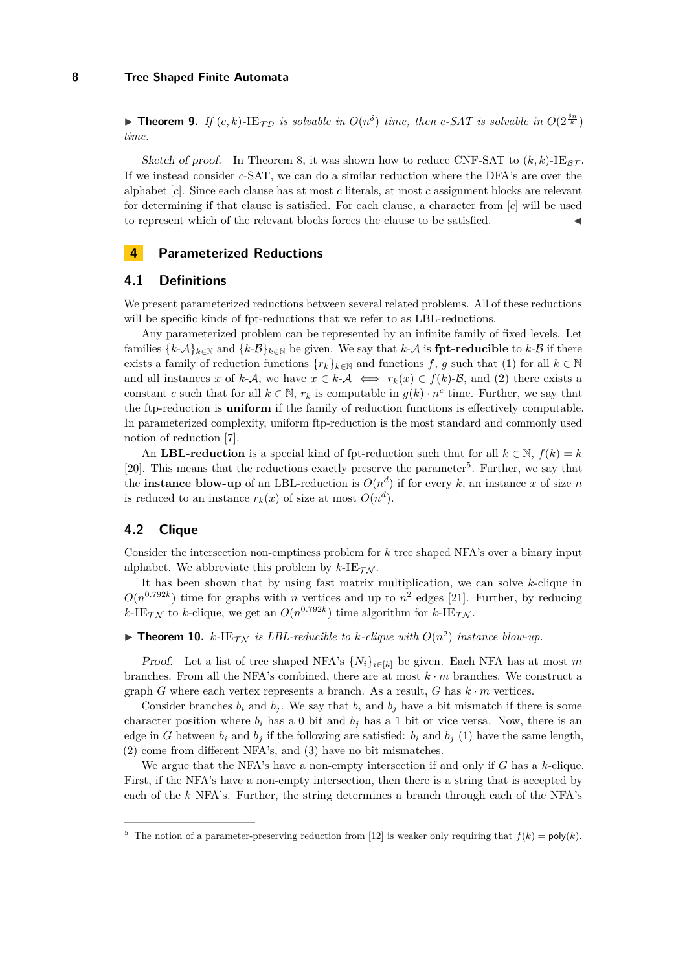**Find 15 Figure 10.** If  $(c, k)$ -IE $_{\tau_D}$  is solvable in  $O(n^{\delta})$  time, then c-SAT is solvable in  $O(2^{\frac{\delta n}{k}})$ *time.*

Sketch of proof. In Theorem 8, it was shown how to reduce CNF-SAT to  $(k, k)$ -IE<sub>BT</sub>. If we instead consider *c*-SAT, we can do a similar reduction where the DFA's are over the alphabet [*c*]. Since each clause has at most *c* literals, at most *c* assignment blocks are relevant for determining if that clause is satisfied. For each clause, a character from [*c*] will be used to represent which of the relevant blocks forces the clause to be satisfied.

# **4 Parameterized Reductions**

## **4.1 Definitions**

We present parameterized reductions between several related problems. All of these reductions will be specific kinds of fpt-reductions that we refer to as LBL-reductions.

Any parameterized problem can be represented by an infinite family of fixed levels. Let families  $\{k\text{-}A\}_{k\in\mathbb{N}}$  and  $\{k\text{-}B\}_{k\in\mathbb{N}}$  be given. We say that  $k\text{-}A$  is **fpt-reducible** to  $k\text{-}B$  if there exists a family of reduction functions  $\{r_k\}_{k\in\mathbb{N}}$  and functions *f*, *g* such that (1) for all  $k \in \mathbb{N}$ and all instances x of k-A, we have  $x \in k$ -A  $\iff r_k(x) \in f(k)$ -B, and (2) there exists a constant *c* such that for all  $k \in \mathbb{N}$ ,  $r_k$  is computable in  $g(k) \cdot n^c$  time. Further, we say that the ftp-reduction is **uniform** if the family of reduction functions is effectively computable. In parameterized complexity, uniform ftp-reduction is the most standard and commonly used notion of reduction [\[7\]](#page-11-15).

An **LBL-reduction** is a special kind of fpt-reduction such that for all  $k \in \mathbb{N}$ ,  $f(k) = k$ [\[20\]](#page-11-16). This means that the reductions exactly preserve the parameter<sup>[5](#page-7-0)</sup>. Further, we say that the **instance blow-up** of an LBL-reduction is  $O(n^d)$  if for every k, an instance x of size n is reduced to an instance  $r_k(x)$  of size at most  $O(n^d)$ .

## **4.2 Clique**

Consider the intersection non-emptiness problem for *k* tree shaped NFA's over a binary input alphabet. We abbreviate this problem by  $k$ -IE $\tau_N$ .

It has been shown that by using fast matrix multiplication, we can solve *k*-clique in  $O(n^{0.792k})$  time for graphs with *n* vertices and up to  $n^2$  edges [\[21\]](#page-11-17). Further, by reducing  $k$ -IE<sub>TN</sub> to *k*-clique, we get an  $O(n^{0.792k})$  time algorithm for  $k$ -IE<sub>TN</sub>.

# **Findment 10.**  $k$ -IE $_{\mathcal{T}\mathcal{N}}$  is LBL-reducible to  $k$ -clique with  $O(n^2)$  instance blow-up.

*Proof.* Let a list of tree shaped NFA's  $\{N_i\}_{i\in[k]}$  be given. Each NFA has at most m branches. From all the NFA's combined, there are at most *k* · *m* branches. We construct a graph *G* where each vertex represents a branch. As a result, *G* has  $k \cdot m$  vertices.

Consider branches  $b_i$  and  $b_j$ . We say that  $b_i$  and  $b_j$  have a bit mismatch if there is some character position where  $b_i$  has a 0 bit and  $b_j$  has a 1 bit or vice versa. Now, there is an edge in *G* between  $b_i$  and  $b_j$  if the following are satisfied:  $b_i$  and  $b_j$  (1) have the same length, (2) come from different NFA's, and (3) have no bit mismatches.

We argue that the NFA's have a non-empty intersection if and only if *G* has a *k*-clique. First, if the NFA's have a non-empty intersection, then there is a string that is accepted by each of the *k* NFA's. Further, the string determines a branch through each of the NFA's

<span id="page-7-0"></span><sup>&</sup>lt;sup>5</sup> The notion of a parameter-preserving reduction from [\[12\]](#page-11-18) is weaker only requiring that  $f(k) = \text{poly}(k)$ .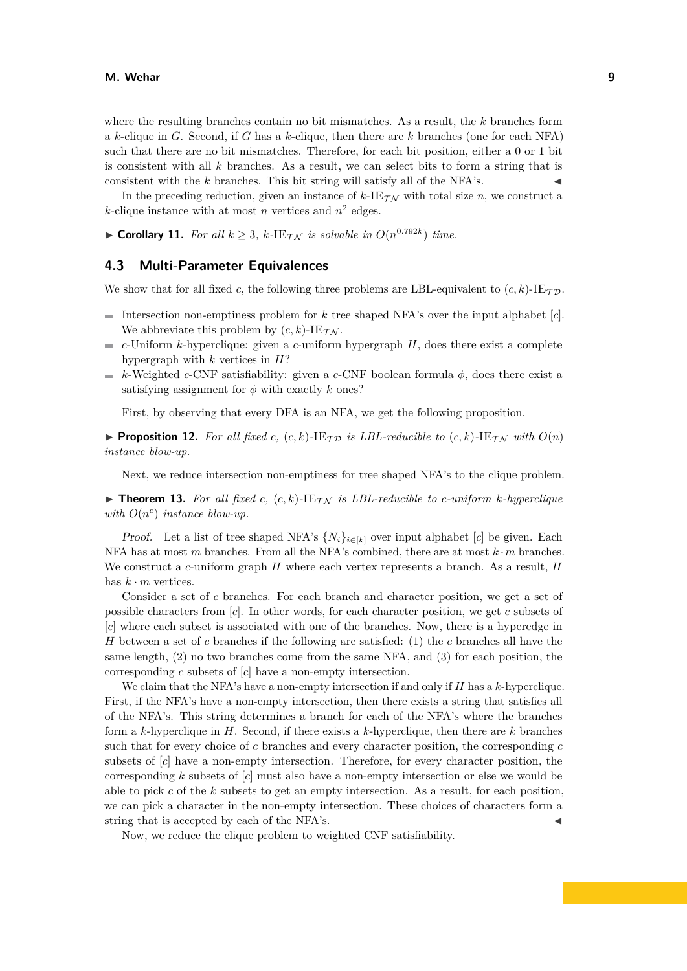where the resulting branches contain no bit mismatches. As a result, the *k* branches form a *k*-clique in *G*. Second, if *G* has a *k*-clique, then there are *k* branches (one for each NFA) such that there are no bit mismatches. Therefore, for each bit position, either a 0 or 1 bit is consistent with all *k* branches. As a result, we can select bits to form a string that is consistent with the  $k$  branches. This bit string will satisfy all of the NFA's.

In the preceding reduction, given an instance of  $k$ -IE $\tau_N$  with total size *n*, we construct a *k*-clique instance with at most *n* vertices and  $n^2$  edges.

▶ **Corollary 11.** *For all*  $k \geq 3$ *,*  $k$ -IE $\tau_N$  *is solvable in*  $O(n^{0.792k})$  *time.* 

## **4.3 Multi-Parameter Equivalences**

We show that for all fixed *c*, the following three problems are LBL-equivalent to  $(c, k)$ -IE $\tau_{\mathcal{D}}$ .

- Intersection non-emptiness problem for  $k$  tree shaped NFA's over the input alphabet  $[c]$ . We abbreviate this problem by  $(c, k)$ -IE $\tau_{\mathcal{N}}$ .
- *c*-Uniform *k*-hyperclique: given a *c*-uniform hypergraph *H*, does there exist a complete m. hypergraph with *k* vertices in *H*?
- *k*-Weighted *c*-CNF satisfiability: given a *c*-CNF boolean formula  $\phi$ , does there exist a  $\rightarrow$ satisfying assignment for  $\phi$  with exactly *k* ones?

First, by observing that every DFA is an NFA, we get the following proposition.

**Proposition 12.** For all fixed c,  $(c, k)$ -IE $_{\mathcal{TD}}$  is LBL-reducible to  $(c, k)$ -IE $_{\mathcal{TN}}$  with  $O(n)$ *instance blow-up.*

Next, we reduce intersection non-emptiness for tree shaped NFA's to the clique problem.

 $\triangleright$  **Theorem 13.** For all fixed c,  $(c, k)$ -IE $\tau_N$  is LBL-reducible to c-uniform *k*-hyperclique *with*  $O(n^c)$  *instance blow-up.* 

*Proof.* Let a list of tree shaped NFA's  $\{N_i\}_{i \in [k]}$  over input alphabet [*c*] be given. Each NFA has at most *m* branches. From all the NFA's combined, there are at most *k* ·*m* branches. We construct a *c*-uniform graph *H* where each vertex represents a branch. As a result, *H* has  $k \cdot m$  vertices.

Consider a set of *c* branches. For each branch and character position, we get a set of possible characters from [*c*]. In other words, for each character position, we get *c* subsets of [*c*] where each subset is associated with one of the branches. Now, there is a hyperedge in *H* between a set of *c* branches if the following are satisfied: (1) the *c* branches all have the same length, (2) no two branches come from the same NFA, and (3) for each position, the corresponding *c* subsets of [*c*] have a non-empty intersection.

We claim that the NFA's have a non-empty intersection if and only if *H* has a *k*-hyperclique. First, if the NFA's have a non-empty intersection, then there exists a string that satisfies all of the NFA's. This string determines a branch for each of the NFA's where the branches form a *k*-hyperclique in *H*. Second, if there exists a *k*-hyperclique, then there are *k* branches such that for every choice of *c* branches and every character position, the corresponding *c* subsets of [*c*] have a non-empty intersection. Therefore, for every character position, the corresponding *k* subsets of [*c*] must also have a non-empty intersection or else we would be able to pick *c* of the *k* subsets to get an empty intersection. As a result, for each position, we can pick a character in the non-empty intersection. These choices of characters form a string that is accepted by each of the NFA's.

Now, we reduce the clique problem to weighted CNF satisfiability.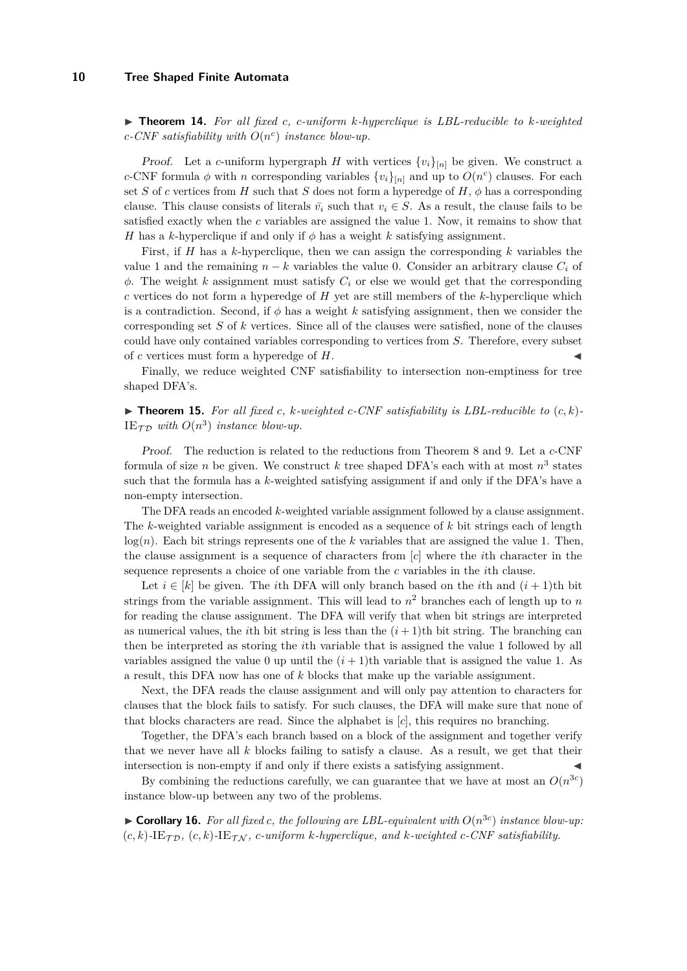$\triangleright$  **Theorem 14.** For all fixed c, c-uniform *k*-hyperclique is LBL-reducible to *k*-weighted *c-CNF satisfiability with O*(*n c* ) *instance blow-up.*

*Proof.* Let a *c*-uniform hypergraph *H* with vertices  $\{v_i\}_{[n]}$  be given. We construct a *c*-CNF formula  $\phi$  with *n* corresponding variables  $\{v_i\}_{[n]}$  and up to  $O(n^c)$  clauses. For each set *S* of *c* vertices from *H* such that *S* does not form a hyperedge of  $H$ ,  $\phi$  has a corresponding clause. This clause consists of literals  $\bar{v}_i$  such that  $v_i \in S$ . As a result, the clause fails to be satisfied exactly when the *c* variables are assigned the value 1. Now, it remains to show that *H* has a *k*-hyperclique if and only if  $\phi$  has a weight *k* satisfying assignment.

First, if *H* has a *k*-hyperclique, then we can assign the corresponding *k* variables the value 1 and the remaining  $n - k$  variables the value 0. Consider an arbitrary clause  $C_i$  of  $\phi$ . The weight *k* assignment must satisfy  $C_i$  or else we would get that the corresponding *c* vertices do not form a hyperedge of *H* yet are still members of the *k*-hyperclique which is a contradiction. Second, if  $\phi$  has a weight *k* satisfying assignment, then we consider the corresponding set *S* of *k* vertices. Since all of the clauses were satisfied, none of the clauses could have only contained variables corresponding to vertices from *S*. Therefore, every subset of *c* vertices must form a hyperedge of *H*. J

Finally, we reduce weighted CNF satisfiability to intersection non-emptiness for tree shaped DFA's.

 $\triangleright$  **Theorem 15.** For all fixed c, k-weighted c-CNF satisfiability is LBL-reducible to  $(c, k)$ -IE<sub> $\tau$ *D*</sub> with  $O(n^3)$  instance blow-up.

Proof. The reduction is related to the reductions from Theorem 8 and 9. Let a *c*-CNF formula of size *n* be given. We construct *k* tree shaped DFA's each with at most  $n^3$  states such that the formula has a *k*-weighted satisfying assignment if and only if the DFA's have a non-empty intersection.

The DFA reads an encoded *k*-weighted variable assignment followed by a clause assignment. The *k*-weighted variable assignment is encoded as a sequence of *k* bit strings each of length  $log(n)$ . Each bit strings represents one of the *k* variables that are assigned the value 1. Then, the clause assignment is a sequence of characters from [*c*] where the *i*th character in the sequence represents a choice of one variable from the *c* variables in the *i*th clause.

Let  $i \in [k]$  be given. The *i*th DFA will only branch based on the *i*th and  $(i + 1)$ th bit strings from the variable assignment. This will lead to  $n^2$  branches each of length up to  $n$ for reading the clause assignment. The DFA will verify that when bit strings are interpreted as numerical values, the *i*th bit string is less than the  $(i + 1)$ th bit string. The branching can then be interpreted as storing the *i*th variable that is assigned the value 1 followed by all variables assigned the value 0 up until the  $(i + 1)$ th variable that is assigned the value 1. As a result, this DFA now has one of *k* blocks that make up the variable assignment.

Next, the DFA reads the clause assignment and will only pay attention to characters for clauses that the block fails to satisfy. For such clauses, the DFA will make sure that none of that blocks characters are read. Since the alphabet is [*c*], this requires no branching.

Together, the DFA's each branch based on a block of the assignment and together verify that we never have all *k* blocks failing to satisfy a clause. As a result, we get that their intersection is non-empty if and only if there exists a satisfying assignment.

By combining the reductions carefully, we can guarantee that we have at most an  $O(n^{3c})$ instance blow-up between any two of the problems.

 $\triangleright$  **Corollary 16.** For all fixed *c*, the following are LBL-equivalent with  $O(n^{3c})$  instance blow-up:  $(c, k)$ -IE<sub>TD</sub>,  $(c, k)$ -IE<sub>TN</sub>, *c*-uniform *k*-hyperclique, and *k*-weighted *c*-CNF satisfiability.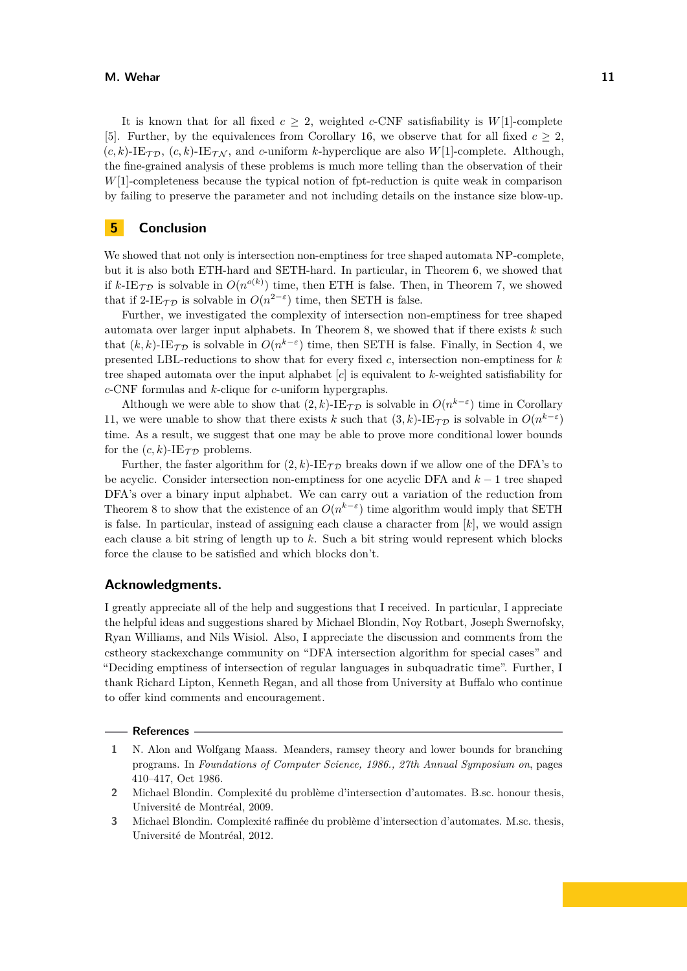#### **M. Wehar 11**

It is known that for all fixed  $c \geq 2$ , weighted *c*-CNF satisfiability is *W*[1]-complete [\[5\]](#page-11-19). Further, by the equivalences from Corollary 16, we observe that for all fixed  $c \geq 2$ ,  $(c, k)$ -IE $\tau_{\mathcal{D}}$ ,  $(c, k)$ -IE $\tau_{\mathcal{N}}$ , and *c*-uniform *k*-hyperclique are also *W*[1]-complete. Although, the fine-grained analysis of these problems is much more telling than the observation of their *W*[1]-completeness because the typical notion of fpt-reduction is quite weak in comparison by failing to preserve the parameter and not including details on the instance size blow-up.

## **5 Conclusion**

We showed that not only is intersection non-emptiness for tree shaped automata NP-complete, but it is also both ETH-hard and SETH-hard. In particular, in Theorem 6, we showed that if  $k$ -IE<sub>TD</sub> is solvable in  $O(n^{o(k)})$  time, then ETH is false. Then, in Theorem 7, we showed that if 2-IE<sub> $\tau$ </sub> p is solvable in  $O(n^{2-\epsilon})$  time, then SETH is false.

Further, we investigated the complexity of intersection non-emptiness for tree shaped automata over larger input alphabets. In Theorem 8, we showed that if there exists *k* such that  $(k, k)$ -IE $_{\mathcal{TD}}$  is solvable in  $O(n^{k-\varepsilon})$  time, then SETH is false. Finally, in Section 4, we presented LBL-reductions to show that for every fixed *c*, intersection non-emptiness for *k* tree shaped automata over the input alphabet [*c*] is equivalent to *k*-weighted satisfiability for *c*-CNF formulas and *k*-clique for *c*-uniform hypergraphs.

Although we were able to show that  $(2, k)$ -IE<sub>*T*</sub> is solvable in  $O(n^{k-\varepsilon})$  time in Corollary 11, we were unable to show that there exists *k* such that  $(3, k)$ -IE $\tau_{\mathcal{D}}$  is solvable in  $O(n^{k-\varepsilon})$ time. As a result, we suggest that one may be able to prove more conditional lower bounds for the  $(c, k)$ -IE<sub> $\tau$ </sub> problems.

Further, the faster algorithm for  $(2, k)$ -IE<sub>TD</sub> breaks down if we allow one of the DFA's to be acyclic. Consider intersection non-emptiness for one acyclic DFA and *k* − 1 tree shaped DFA's over a binary input alphabet. We can carry out a variation of the reduction from Theorem 8 to show that the existence of an  $O(n^{k-\epsilon})$  time algorithm would imply that SETH is false. In particular, instead of assigning each clause a character from [*k*], we would assign each clause a bit string of length up to *k*. Such a bit string would represent which blocks force the clause to be satisfied and which blocks don't.

## **Acknowledgments.**

I greatly appreciate all of the help and suggestions that I received. In particular, I appreciate the helpful ideas and suggestions shared by Michael Blondin, Noy Rotbart, Joseph Swernofsky, Ryan Williams, and Nils Wisiol. Also, I appreciate the discussion and comments from the cstheory stackexchange community on "DFA intersection algorithm for special cases" and "Deciding emptiness of intersection of regular languages in subquadratic time". Further, I thank Richard Lipton, Kenneth Regan, and all those from University at Buffalo who continue to offer kind comments and encouragement.

#### **References**

<span id="page-10-0"></span>**1** N. Alon and Wolfgang Maass. Meanders, ramsey theory and lower bounds for branching programs. In *Foundations of Computer Science, 1986., 27th Annual Symposium on*, pages 410–417, Oct 1986.

**3** Michael Blondin. Complexité raffinée du problème d'intersection d'automates. M.sc. thesis, Université de Montréal, 2012.

**<sup>2</sup>** Michael Blondin. Complexité du problème d'intersection d'automates. B.sc. honour thesis, Université de Montréal, 2009.